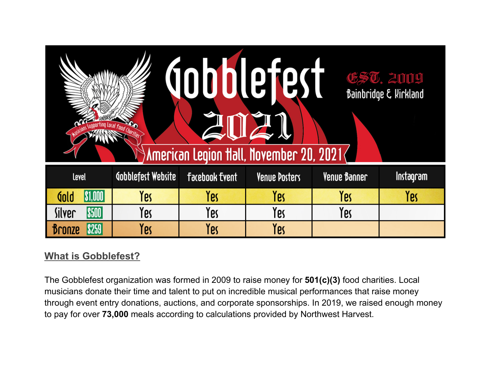| lletest<br><b>EST. 2009</b><br>Bainbridge & Kirkland<br>American Legion Hall, November 20, 2021 $\langle$ |                    |                       |               |              |           |  |
|-----------------------------------------------------------------------------------------------------------|--------------------|-----------------------|---------------|--------------|-----------|--|
| Level                                                                                                     | Gobblefest Website | <b>Facebook Event</b> | Venue Posters | Venue Banner | Instagram |  |
| \$1,000 <br>dold                                                                                          | Yes                | Yes                   | Yes           | Yes          | Yes       |  |
| Silver<br><b>S500</b>                                                                                     | Yes                | Yes                   | Yes           | Yes          |           |  |
| ronze                                                                                                     | Yes                | Yes                   | Yes           |              |           |  |

## **What is Gobblefest?**

The Gobblefest organization was formed in 2009 to raise money for **501(c)(3)** food charities. Local musicians donate their time and talent to put on incredible musical performances that raise money through event entry donations, auctions, and corporate sponsorships. In 2019, we raised enough money to pay for over **73,000** meals according to calculations provided by Northwest Harvest.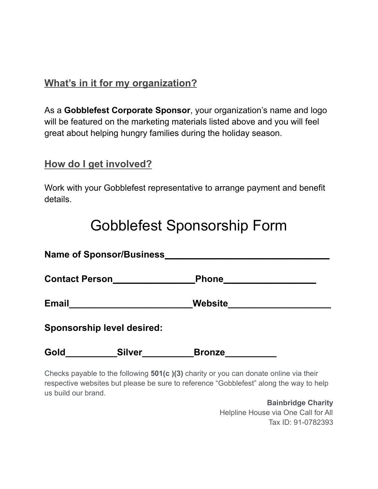## **What's in it for my organization?**

As a **Gobblefest Corporate Sponsor**, your organization's name and logo will be featured on the marketing materials listed above and you will feel great about helping hungry families during the holiday season.

### **How do I get involved?**

Work with your Gobblefest representative to arrange payment and benefit details.

# Gobblefest Sponsorship Form

|              | Name of Sponsor/Business_         | the control of the control of the control of the control of the control of the control of the control of the control of the control of the control of the control of the control of the control of the control of the control |  |
|--------------|-----------------------------------|-------------------------------------------------------------------------------------------------------------------------------------------------------------------------------------------------------------------------------|--|
|              | Contact Person                    | $\_$ Phone $\_$                                                                                                                                                                                                               |  |
| <b>Email</b> |                                   | Website                                                                                                                                                                                                                       |  |
|              | <b>Sponsorship level desired:</b> |                                                                                                                                                                                                                               |  |
| Gold         | <b>Silver</b>                     | <b>Bronze</b>                                                                                                                                                                                                                 |  |
|              |                                   | Chaelco noughla to the fellowing E04/e 1/91 electrication and denote coling via their                                                                                                                                         |  |

Checks payable to the following **501(c )(3)** charity or you can donate online via their respective websites but please be sure to reference "Gobblefest" along the way to help us build our brand.

> **Bainbridge Charity** Helpline House via One Call for All Tax ID: 91-0782393